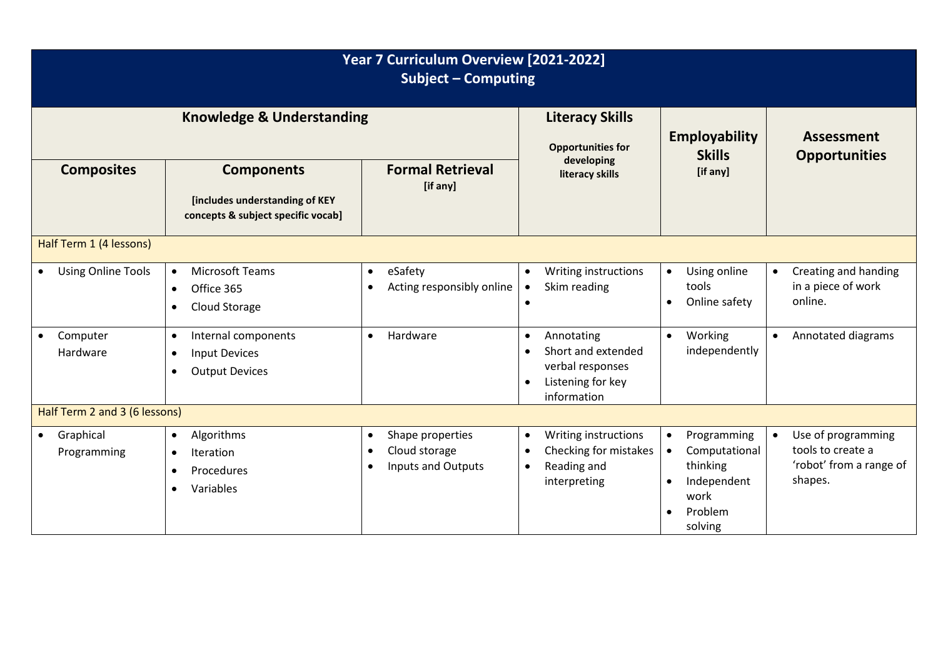| Year 7 Curriculum Overview [2021-2022]<br><b>Subject - Computing</b> |                                                                                                               |                                                                                                       |                                                                                                                                 |                                                                                                                                           |                                                                               |  |  |  |  |  |  |
|----------------------------------------------------------------------|---------------------------------------------------------------------------------------------------------------|-------------------------------------------------------------------------------------------------------|---------------------------------------------------------------------------------------------------------------------------------|-------------------------------------------------------------------------------------------------------------------------------------------|-------------------------------------------------------------------------------|--|--|--|--|--|--|
|                                                                      | <b>Knowledge &amp; Understanding</b>                                                                          | <b>Literacy Skills</b><br><b>Opportunities for</b>                                                    | <b>Employability</b><br><b>Skills</b>                                                                                           | <b>Assessment</b><br><b>Opportunities</b>                                                                                                 |                                                                               |  |  |  |  |  |  |
| <b>Composites</b>                                                    | <b>Components</b><br>[includes understanding of KEY<br>concepts & subject specific vocab]                     | <b>Formal Retrieval</b><br>[if any]                                                                   | developing<br>literacy skills                                                                                                   | [if any]                                                                                                                                  |                                                                               |  |  |  |  |  |  |
| Half Term 1 (4 lessons)                                              |                                                                                                               |                                                                                                       |                                                                                                                                 |                                                                                                                                           |                                                                               |  |  |  |  |  |  |
| <b>Using Online Tools</b><br>$\bullet$                               | <b>Microsoft Teams</b><br>$\bullet$<br>Office 365<br>$\bullet$<br>Cloud Storage                               | eSafety<br>$\bullet$<br>Acting responsibly online                                                     | Writing instructions<br>$\bullet$<br>Skim reading<br>$\bullet$<br>$\bullet$                                                     | Using online<br>$\bullet$<br>tools<br>Online safety<br>$\bullet$                                                                          | Creating and handing<br>$\bullet$<br>in a piece of work<br>online.            |  |  |  |  |  |  |
| Computer<br>$\bullet$<br>Hardware                                    | Internal components<br>$\bullet$<br><b>Input Devices</b><br>$\bullet$<br><b>Output Devices</b><br>$\bullet$   | Hardware<br>$\bullet$                                                                                 | Annotating<br>$\bullet$<br>Short and extended<br>$\bullet$<br>verbal responses<br>Listening for key<br>$\bullet$<br>information | Working<br>$\bullet$<br>independently                                                                                                     | Annotated diagrams                                                            |  |  |  |  |  |  |
| Half Term 2 and 3 (6 lessons)                                        |                                                                                                               |                                                                                                       |                                                                                                                                 |                                                                                                                                           |                                                                               |  |  |  |  |  |  |
| Graphical<br>$\bullet$<br>Programming                                | Algorithms<br>$\bullet$<br><b>Iteration</b><br>$\bullet$<br>Procedures<br>$\bullet$<br>Variables<br>$\bullet$ | Shape properties<br>$\bullet$<br>Cloud storage<br>$\bullet$<br><b>Inputs and Outputs</b><br>$\bullet$ | Writing instructions<br>$\bullet$<br>Checking for mistakes<br>$\bullet$<br>Reading and<br>$\bullet$<br>interpreting             | Programming<br>$\bullet$<br>Computational<br>$\bullet$<br>thinking<br>Independent<br>$\bullet$<br>work<br>Problem<br>$\bullet$<br>solving | Use of programming<br>tools to create a<br>'robot' from a range of<br>shapes. |  |  |  |  |  |  |